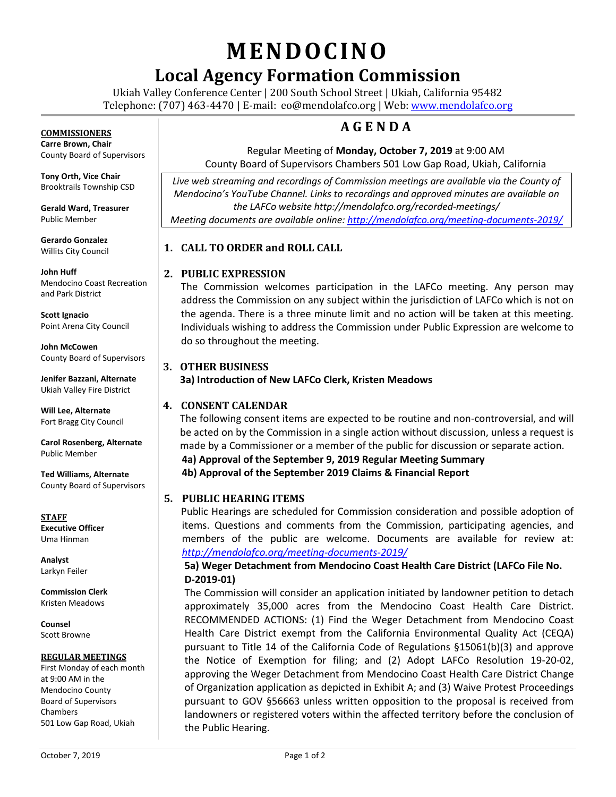# **MENDOCINO**

# **Local Agency Formation Commission**

Ukiah Valley Conference Center | 200 South School Street | Ukiah, California 95482 Telephone: (707) 463-4470 | E-mail: [eo@mendolafco.org](mailto:eo@mendolafco.org) | Web[: www.mendolafco.org](http://www.mendolafco.org/)

# **A G E N D A**

# Regular Meeting of **Monday, October 7, 2019** at 9:00 AM

County Board of Supervisors Chambers 501 Low Gap Road, Ukiah, California

Live web streaming and recordings of Commission meetings are available via the County of *Mendocino's YouTube Channel. Links to recordings and approved minutes are available on the LAFCo website http://mendolafco.org/recorded-meetings/ Meeting documents are available online[: http://mendolafco.org/meeting-documents-2019/](http://mendolafco.org/meeting-documents-2019/)*

# **1. CALL TO ORDER and ROLL CALL**

# **2. PUBLIC EXPRESSION**

The Commission welcomes participation in the LAFCo meeting. Any person may address the Commission on any subject within the jurisdiction of LAFCo which is not on the agenda. There is a three minute limit and no action will be taken at this meeting. Individuals wishing to address the Commission under Public Expression are welcome to do so throughout the meeting.

# **3. OTHER BUSINESS**

**3a) Introduction of New LAFCo Clerk, Kristen Meadows**

# **4. CONSENT CALENDAR**

The following consent items are expected to be routine and non-controversial, and will be acted on by the Commission in a single action without discussion, unless a request is made by a Commissioner or a member of the public for discussion or separate action. **4a) Approval of the September 9, 2019 Regular Meeting Summary 4b) Approval of the September 2019 Claims & Financial Report**

# **5. PUBLIC HEARING ITEMS**

Public Hearings are scheduled for Commission consideration and possible adoption of items. Questions and comments from the Commission, participating agencies, and members of the public are welcome. Documents are available for review at: *<http://mendolafco.org/meeting-documents-2019/>*

# **5a) Weger Detachment from Mendocino Coast Health Care District (LAFCo File No. D-2019-01)**

The Commission will consider an application initiated by landowner petition to detach approximately 35,000 acres from the Mendocino Coast Health Care District. RECOMMENDED ACTIONS: (1) Find the Weger Detachment from Mendocino Coast Health Care District exempt from the California Environmental Quality Act (CEQA) pursuant to Title 14 of the California Code of Regulations §15061(b)(3) and approve the Notice of Exemption for filing; and (2) Adopt LAFCo Resolution 19-20-02, approving the Weger Detachment from Mendocino Coast Health Care District Change of Organization application as depicted in Exhibit A; and (3) Waive Protest Proceedings pursuant to GOV §56663 unless written opposition to the proposal is received from landowners or registered voters within the affected territory before the conclusion of the Public Hearing.

**COMMISSIONERS Carre Brown, Chair**

County Board of Supervisors

**Tony Orth, Vice Chair** Brooktrails Township CSD

**Gerald Ward, Treasurer** Public Member

**Gerardo Gonzalez** Willits City Council

**John Huff**  Mendocino Coast Recreation and Park District

**Scott Ignacio** Point Arena City Council

**John McCowen** County Board of Supervisors

**Jenifer Bazzani, Alternate** Ukiah Valley Fire District

**Will Lee, Alternate** Fort Bragg City Council

**Carol Rosenberg, Alternate** Public Member

**Ted Williams, Alternate** County Board of Supervisors

**STAFF Executive Officer** Uma Hinman

**Analyst** Larkyn Feiler

**Commission Clerk** Kristen Meadows

**Counsel** Scott Browne

#### **REGULAR MEETINGS**

First Monday of each month at 9:00 AM in the Mendocino County Board of Supervisors Chambers 501 Low Gap Road, Ukiah